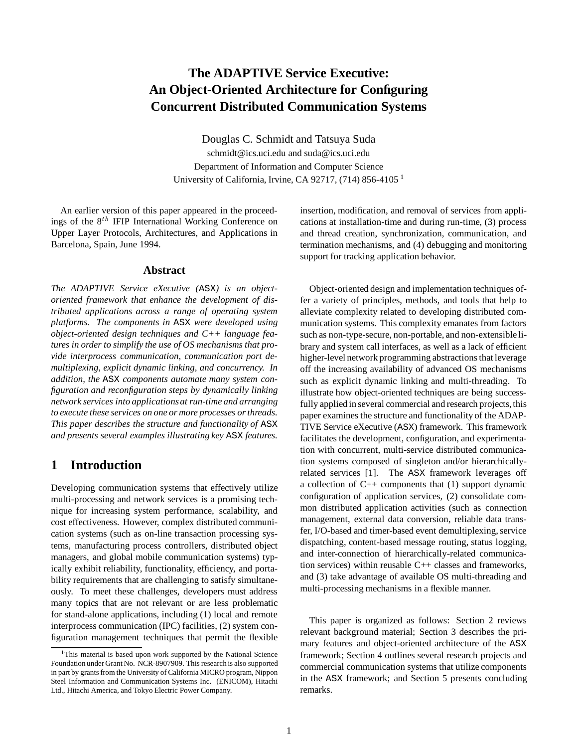# **The ADAPTIVE Service Executive: An Object-Oriented Architecture for Configuring Concurrent Distributed Communication Systems**

Douglas C. Schmidt and Tatsuya Suda schmidt@ics.uci.edu and suda@ics.uci.edu Department of Information and Computer Science University of California, Irvine, CA 92717, (714) 856-4105 <sup>1</sup>

An earlier version of this paper appeared in the proceedings of the  $8^{th}$  IFIP International Working Conference on Upper Layer Protocols, Architectures, and Applications in Barcelona, Spain, June 1994.

#### **Abstract**

*The ADAPTIVE Service eXecutive (*ASX*) is an objectoriented framework that enhance the development of distributed applications across a range of operating system platforms. The components in* ASX *were developed using object-oriented design techniques and C++ language features in order to simplify the use of OS mechanisms that provide interprocess communication, communication port demultiplexing, explicit dynamic linking, and concurrency. In addition, the* ASX *components automate many system configuration and reconfiguration steps by dynamically linking network services into applicationsat run-time and arranging to execute these services on one or more processes or threads. This paper describes the structure and functionality of* ASX *and presents several examples illustrating key* ASX *features.*

## **1 Introduction**

Developing communication systems that effectively utilize multi-processing and network services is a promising technique for increasing system performance, scalability, and cost effectiveness. However, complex distributed communication systems (such as on-line transaction processing systems, manufacturing process controllers, distributed object managers, and global mobile communication systems) typically exhibit reliability, functionality, efficiency, and portability requirements that are challenging to satisfy simultaneously. To meet these challenges, developers must address many topics that are not relevant or are less problematic for stand-alone applications, including (1) local and remote interprocess communication (IPC) facilities, (2) system configuration management techniques that permit the flexible

insertion, modification, and removal of services from applications at installation-time and during run-time, (3) process and thread creation, synchronization, communication, and termination mechanisms, and (4) debugging and monitoring support for tracking application behavior.

Object-oriented design and implementation techniques offer a variety of principles, methods, and tools that help to alleviate complexity related to developing distributed communication systems. This complexity emanates from factors such as non-type-secure, non-portable, and non-extensible library and system call interfaces, as well as a lack of efficient higher-level network programming abstractions that leverage off the increasing availability of advanced OS mechanisms such as explicit dynamic linking and multi-threading. To illustrate how object-oriented techniques are being successfully applied in several commercial and research projects, this paper examines the structure and functionality of the ADAP-TIVE Service eXecutive (ASX) framework. This framework facilitates the development, configuration, and experimentation with concurrent, multi-service distributed communication systems composed of singleton and/or hierarchicallyrelated services [1]. The ASX framework leverages off a collection of  $C_{++}$  components that (1) support dynamic configuration of application services, (2) consolidate common distributed application activities (such as connection management, external data conversion, reliable data transfer, I/O-based and timer-based event demultiplexing, service dispatching, content-based message routing, status logging, and inter-connection of hierarchically-related communication services) within reusable C++ classes and frameworks, and (3) take advantage of available OS multi-threading and multi-processing mechanisms in a flexible manner.

This paper is organized as follows: Section 2 reviews relevant background material; Section 3 describes the primary features and object-oriented architecture of the ASX framework; Section 4 outlines several research projects and commercial communication systems that utilize components in the ASX framework; and Section 5 presents concluding remarks.

<sup>&</sup>lt;sup>1</sup>This material is based upon work supported by the National Science Foundation under Grant No. NCR-8907909. This research is also supported in part by grants from the University of California MICRO program, Nippon Steel Information and Communication Systems Inc. (ENICOM), Hitachi Ltd., Hitachi America, and Tokyo Electric Power Company.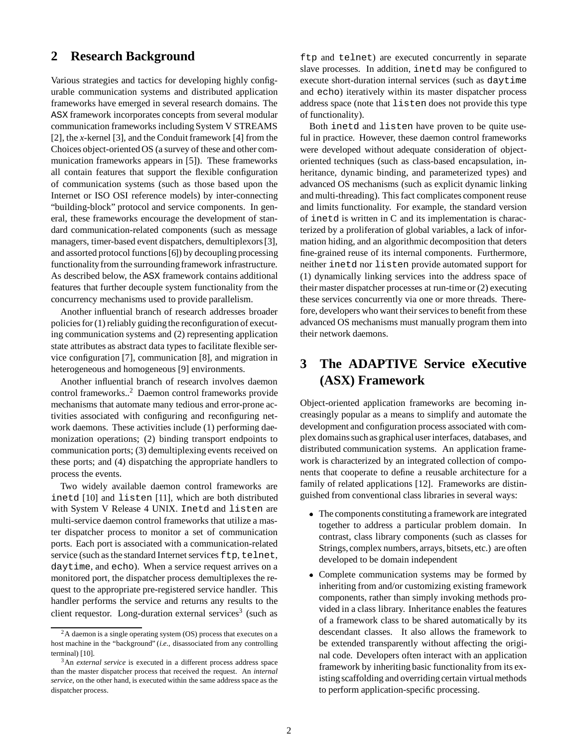# **2 Research Background**

Various strategies and tactics for developing highly configurable communication systems and distributed application frameworks have emerged in several research domains. The ASX framework incorporates concepts from several modular communication frameworks including System V STREAMS [2], the *x*-kernel [3], and the Conduit framework [4] from the Choices object-oriented OS (a survey of these and other communication frameworks appears in [5]). These frameworks all contain features that support the flexible configuration of communication systems (such as those based upon the Internet or ISO OSI reference models) by inter-connecting "building-block" protocol and service components. In general, these frameworks encourage the development of standard communication-related components (such as message managers, timer-based event dispatchers, demultiplexors [3], and assorted protocol functions [6]) by decoupling processing functionality from the surrounding framework infrastructure. As described below, the ASX framework contains additional features that further decouple system functionality from the concurrency mechanisms used to provide parallelism.

Another influential branch of research addresses broader policies for (1) reliably guidingthe reconfiguration of executing communication systems and (2) representing application state attributes as abstract data types to facilitate flexible service configuration [7], communication [8], and migration in heterogeneous and homogeneous [9] environments.

Another influential branch of research involves daemon control frameworks..2 Daemon control frameworks provide mechanisms that automate many tedious and error-prone activities associated with configuring and reconfiguring network daemons. These activities include (1) performing daemonization operations; (2) binding transport endpoints to communication ports; (3) demultiplexing events received on these ports; and (4) dispatching the appropriate handlers to process the events.

Two widely available daemon control frameworks are inetd [10] and listen [11], which are both distributed with System V Release 4 UNIX. Inetd and listen are multi-service daemon control frameworks that utilize a master dispatcher process to monitor a set of communication ports. Each port is associated with a communication-related service (such as the standard Internet services ftp, telnet, daytime, and echo). When a service request arrives on a monitored port, the dispatcher process demultiplexes the request to the appropriate pre-registered service handler. This handler performs the service and returns any results to the client requestor. Long-duration external services<sup>3</sup> (such as

ftp and telnet) are executed concurrently in separate slave processes. In addition, inetd may be configured to execute short-duration internal services (such as daytime and echo) iteratively within its master dispatcher process address space (note that listen does not provide this type of functionality).

Both inetd and listen have proven to be quite useful in practice. However, these daemon control frameworks were developed without adequate consideration of objectoriented techniques (such as class-based encapsulation, inheritance, dynamic binding, and parameterized types) and advanced OS mechanisms (such as explicit dynamic linking and multi-threading). This fact complicates component reuse and limits functionality. For example, the standard version of inetd is written in C and its implementation is characterized by a proliferation of global variables, a lack of information hiding, and an algorithmic decomposition that deters fine-grained reuse of its internal components. Furthermore, neither inetd nor listen provide automated support for (1) dynamically linking services into the address space of their master dispatcher processes at run-time or (2) executing these services concurrently via one or more threads. Therefore, developers who want their services to benefit from these advanced OS mechanisms must manually program them into their network daemons.

# **3 The ADAPTIVE Service eXecutive (ASX) Framework**

Object-oriented application frameworks are becoming increasingly popular as a means to simplify and automate the development and configuration process associated with complex domains such as graphical user interfaces, databases, and distributed communication systems. An application framework is characterized by an integrated collection of components that cooperate to define a reusable architecture for a family of related applications [12]. Frameworks are distinguished from conventional class libraries in several ways:

- The components constituting a framework are integrated together to address a particular problem domain. In contrast, class library components (such as classes for Strings, complex numbers, arrays, bitsets, etc.) are often developed to be domain independent
- Complete communication systems may be formed by inheriting from and/or customizing existing framework components, rather than simply invoking methods provided in a class library. Inheritance enables the features of a framework class to be shared automatically by its descendant classes. It also allows the framework to be extended transparently without affecting the original code. Developers often interact with an application framework by inheriting basic functionality from its existing scaffolding and overriding certain virtual methods to perform application-specific processing.

<sup>2</sup>A daemon is a single operating system (OS) process that executes on a host machine in the "background" (*i.e.,* disassociated from any controlling terminal) [10].

<sup>3</sup>An *external service* is executed in a different process address space than the master dispatcher process that received the request. An *internal service*, on the other hand, is executed within the same address space as the dispatcher process.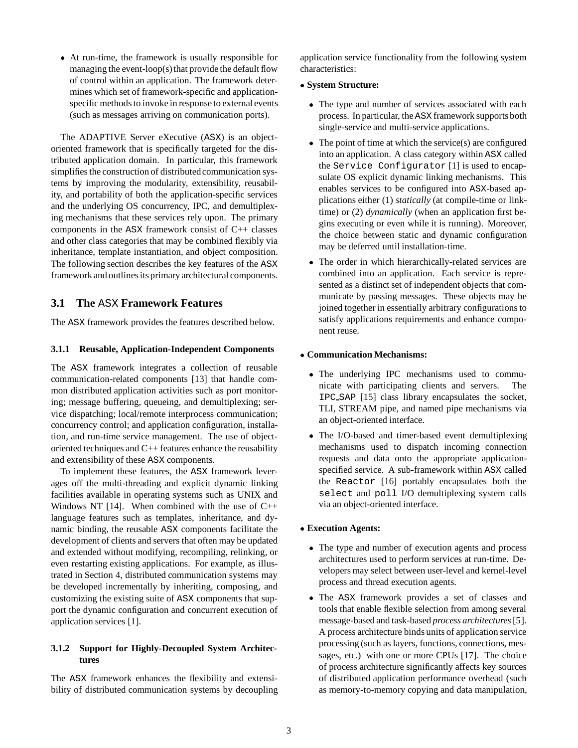At run-time, the framework is usually responsible for managing the event-loop(s) that provide the default flow of control within an application. The framework determines which set of framework-specific and applicationspecific methods to invoke in response to external events (such as messages arriving on communication ports).

The ADAPTIVE Server eXecutive (ASX) is an objectoriented framework that is specifically targeted for the distributed application domain. In particular, this framework simplifies the construction of distributed communication systems by improving the modularity, extensibility, reusability, and portability of both the application-specific services and the underlying OS concurrency, IPC, and demultiplexing mechanisms that these services rely upon. The primary components in the ASX framework consist of C++ classes and other class categories that may be combined flexibly via inheritance, template instantiation, and object composition. The following section describes the key features of the ASX framework and outlines its primary architectural components.

### **3.1 The** ASX **Framework Features**

The ASX framework provides the features described below.

#### **3.1.1 Reusable, Application-Independent Components**

The ASX framework integrates a collection of reusable communication-related components [13] that handle common distributed application activities such as port monitoring; message buffering, queueing, and demultiplexing; service dispatching; local/remote interprocess communication; concurrency control; and application configuration, installation, and run-time service management. The use of objectoriented techniques and C++ features enhance the reusability and extensibility of these ASX components.

To implement these features, the ASX framework leverages off the multi-threading and explicit dynamic linking facilities available in operating systems such as UNIX and Windows NT [14]. When combined with the use of  $C++$ language features such as templates, inheritance, and dynamic binding, the reusable ASX components facilitate the development of clients and servers that often may be updated and extended without modifying, recompiling, relinking, or even restarting existing applications. For example, as illustrated in Section 4, distributed communication systems may be developed incrementally by inheriting, composing, and customizing the existing suite of ASX components that support the dynamic configuration and concurrent execution of application services [1].

### **3.1.2 Support for Highly-Decoupled System Architectures**

The ASX framework enhances the flexibility and extensibility of distributed communication systems by decoupling application service functionality from the following system characteristics:

#### **System Structure:**

- The type and number of services associated with each process. In particular, the ASX framework supports both single-service and multi-service applications.
- The point of time at which the service(s) are configured into an application. A class category within ASX called the Service Configurator [1] is used to encapsulate OS explicit dynamic linking mechanisms. This enables services to be configured into ASX-based applications either (1) *statically* (at compile-time or linktime) or (2) *dynamically* (when an application first begins executing or even while it is running). Moreover, the choice between static and dynamic configuration may be deferred until installation-time.
- The order in which hierarchically-related services are combined into an application. Each service is represented as a distinct set of independent objects that communicate by passing messages. These objects may be joined together in essentially arbitrary configurations to satisfy applications requirements and enhance component reuse.

#### **Communication Mechanisms:**

- The underlying IPC mechanisms used to communicate with participating clients and servers. The IPC SAP [15] class library encapsulates the socket, TLI, STREAM pipe, and named pipe mechanisms via an object-oriented interface.
- The I/O-based and timer-based event demultiplexing mechanisms used to dispatch incoming connection requests and data onto the appropriate applicationspecified service. A sub-framework within ASX called the Reactor [16] portably encapsulates both the select and poll I/O demultiplexing system calls via an object-oriented interface.

#### **Execution Agents:**

- The type and number of execution agents and process architectures used to perform services at run-time. Developers may select between user-level and kernel-level process and thread execution agents.
- The ASX framework provides a set of classes and tools that enable flexible selection from among several message-based and task-based *process architectures*[5]. A process architecture binds units of application service processing (such as layers, functions, connections, messages, etc.) with one or more CPUs [17]. The choice of process architecture significantly affects key sources of distributed application performance overhead (such as memory-to-memory copying and data manipulation,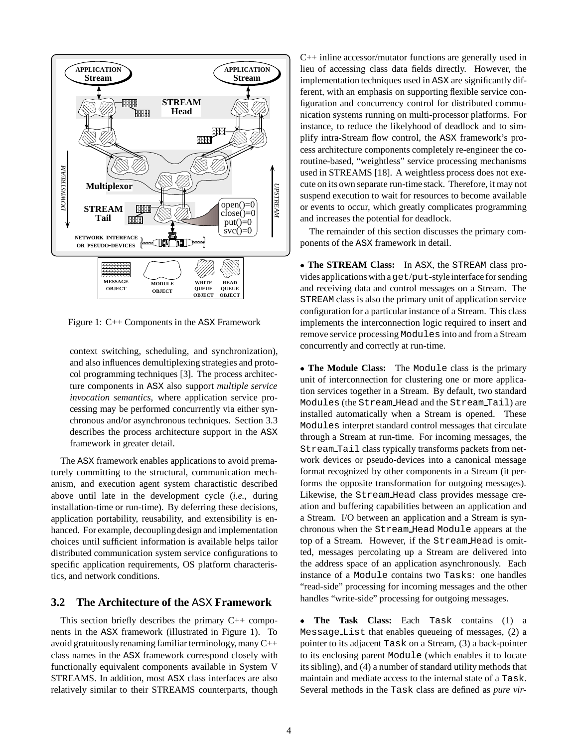

Figure 1: C++ Components in the ASX Framework

context switching, scheduling, and synchronization), and also influences demultiplexing strategies and protocol programming techniques [3]. The process architecture components in ASX also support *multiple service invocation semantics*, where application service processing may be performed concurrently via either synchronous and/or asynchronous techniques. Section 3.3 describes the process architecture support in the ASX framework in greater detail.

The ASX framework enables applications to avoid prematurely committing to the structural, communication mechanism, and execution agent system charactistic described above until late in the development cycle (*i.e.,* during installation-time or run-time). By deferring these decisions, application portability, reusability, and extensibility is enhanced. For example, decoupling design and implementation choices until sufficient information is available helps tailor distributed communication system service configurations to specific application requirements, OS platform characteristics, and network conditions.

### **3.2 The Architecture of the** ASX **Framework**

This section briefly describes the primary  $C_{++}$  components in the ASX framework (illustrated in Figure 1). To avoid gratuitouslyrenaming familiar terminology, many C++ class names in the ASX framework correspond closely with functionally equivalent components available in System V STREAMS. In addition, most ASX class interfaces are also relatively similar to their STREAMS counterparts, though C++ inline accessor/mutator functions are generally used in lieu of accessing class data fields directly. However, the implementation techniques used in ASX are significantly different, with an emphasis on supporting flexible service configuration and concurrency control for distributed communication systems running on multi-processor platforms. For instance, to reduce the likelyhood of deadlock and to simplify intra-Stream flow control, the ASX framework's process architecture components completely re-engineer the coroutine-based, "weightless" service processing mechanisms used in STREAMS [18]. A weightless process does not execute on its own separate run-time stack. Therefore, it may not suspend execution to wait for resources to become available or events to occur, which greatly complicates programming and increases the potential for deadlock.

The remainder of this section discusses the primary components of the ASX framework in detail.

 **The STREAM Class:** In ASX, the STREAM class provides applications with aget/put-style interface for sending and receiving data and control messages on a Stream. The STREAM class is also the primary unit of application service configuration for a particular instance of a Stream. This class implements the interconnection logic required to insert and remove service processing Modules into and from a Stream concurrently and correctly at run-time.

 **The Module Class:** The Module class is the primary unit of interconnection for clustering one or more application services together in a Stream. By default, two standard Modules (the Stream Head and the Stream Tail) are installed automatically when a Stream is opened. These Modules interpret standard control messages that circulate through a Stream at run-time. For incoming messages, the Stream Tail class typically transforms packets from network devices or pseudo-devices into a canonical message format recognized by other components in a Stream (it performs the opposite transformation for outgoing messages). Likewise, the Stream Head class provides message creation and buffering capabilities between an application and a Stream. I/O between an application and a Stream is synchronous when the Stream Head Module appears at the top of a Stream. However, if the Stream Head is omitted, messages percolating up a Stream are delivered into the address space of an application asynchronously. Each instance of a Module contains two Tasks: one handles "read-side" processing for incoming messages and the other handles "write-side" processing for outgoing messages.

 **The Task Class:** Each Task contains (1) a Message List that enables queueing of messages, (2) a pointer to its adjacent Task on a Stream, (3) a back-pointer to its enclosing parent Module (which enables it to locate its sibling), and (4) a number of standard utility methods that maintain and mediate access to the internal state of a Task. Several methods in the Task class are defined as *pure vir-*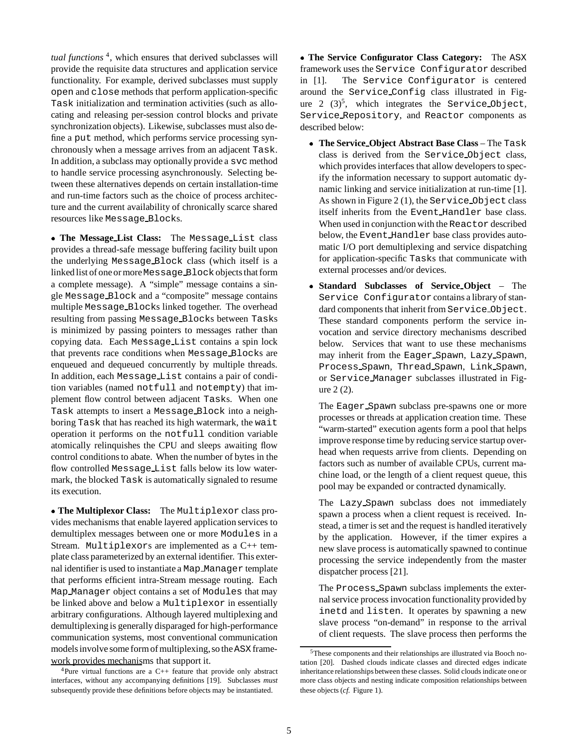*tual functions* 4, which ensures that derived subclasses will provide the requisite data structures and application service functionality. For example, derived subclasses must supply open and close methods that perform application-specific Task initialization and termination activities (such as allocating and releasing per-session control blocks and private synchronization objects). Likewise, subclasses must also define a put method, which performs service processing synchronously when a message arrives from an adjacent Task. In addition, a subclass may optionally provide a svc method to handle service processing asynchronously. Selecting between these alternatives depends on certain installation-time and run-time factors such as the choice of process architecture and the current availability of chronically scarce shared resources like Message Blocks.

 **The Message List Class:** The Message List class provides a thread-safe message buffering facility built upon the underlying Message Block class (which itself is a linked list of one or moreMessage Blockobjects that form a complete message). A "simple" message contains a single Message Block and a "composite" message contains multiple Message Blocks linked together. The overhead resulting from passing Message Blocks between Tasks is minimized by passing pointers to messages rather than copying data. Each Message List contains a spin lock that prevents race conditions when Message Blocks are enqueued and dequeued concurrently by multiple threads. In addition, each Message List contains a pair of condition variables (named notfull and notempty) that implement flow control between adjacent Tasks. When one Task attempts to insert a Message Block into a neighboring Task that has reached its high watermark, the wait operation it performs on the notfull condition variable atomically relinquishes the CPU and sleeps awaiting flow control conditions to abate. When the number of bytes in the flow controlled Message List falls below its low watermark, the blocked Task is automatically signaled to resume its execution.

 **The Multiplexor Class:** The Multiplexor class provides mechanisms that enable layered application services to demultiplex messages between one or more Modules in a Stream. Multiplexors are implemented as a C++ template class parameterized by an external identifier. This external identifier is used to instantiate a Map Manager template that performs efficient intra-Stream message routing. Each Map Manager object contains a set of Modules that may be linked above and below a Multiplexor in essentially arbitrary configurations. Although layered multiplexing and demultiplexing is generally disparaged for high-performance communication systems, most conventional communication models involve some form of multiplexing, so the ASX framework provides mechanisms that support it.

 **The Service Configurator Class Category:** The ASX framework uses the Service Configurator described in [1]. The Service Configurator is centered around the Service Config class illustrated in Figure 2  $(3)^5$ , which integrates the Service Object, Service Repository, and Reactor components as described below:

- **The Service Object Abstract Base Class** The Task class is derived from the Service Object class, which provides interfaces that allow developers to specify the information necessary to support automatic dynamic linking and service initialization at run-time [1]. As shown in Figure 2 (1), the Service Object class itself inherits from the Event Handler base class. When used in conjunction with the Reactor described below, the Event Handler base class provides automatic I/O port demultiplexing and service dispatching for application-specific Tasks that communicate with external processes and/or devices.
- **Standard Subclasses of Service Object** The Service Configurator contains a library of standard components that inherit from Service Object. These standard components perform the service invocation and service directory mechanisms described below. Services that want to use these mechanisms may inherit from the Eager Spawn, Lazy Spawn, Process Spawn, Thread Spawn, Link Spawn, or Service Manager subclasses illustrated in Figure 2 (2).

The Eager Spawn subclass pre-spawns one or more processes or threads at application creation time. These "warm-started" execution agents form a pool that helps improve response time by reducing service startup overhead when requests arrive from clients. Depending on factors such as number of available CPUs, current machine load, or the length of a client request queue, this pool may be expanded or contracted dynamically.

The Lazy Spawn subclass does not immediately spawn a process when a client request is received. Instead, a timer is set and the request is handled iteratively by the application. However, if the timer expires a new slave process is automatically spawned to continue processing the service independently from the master dispatcher process [21].

The Process Spawn subclass implements the external service process invocation functionalityprovided by inetd and listen. It operates by spawning a new slave process "on-demand" in response to the arrival of client requests. The slave process then performs the

<sup>&</sup>lt;sup>4</sup>Pure virtual functions are a  $C_{++}$  feature that provide only abstract interfaces, without any accompanying definitions [19]. Subclasses *must* subsequently provide these definitions before objects may be instantiated.

<sup>5</sup>These components and their relationships are illustrated via Booch notation [20]. Dashed clouds indicate classes and directed edges indicate inheritance relationships between these classes. Solid clouds indicate one or more class objects and nesting indicate composition relationships between these objects (*cf.* Figure 1).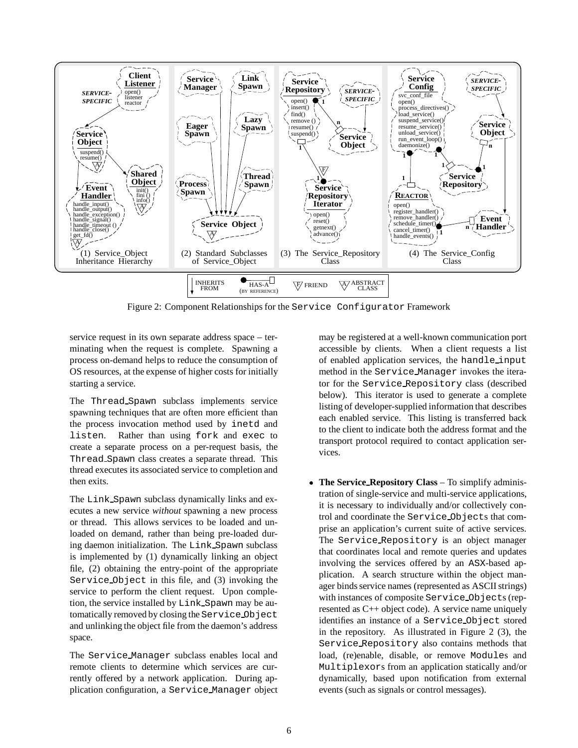

Figure 2: Component Relationships for the Service Configurator Framework

service request in its own separate address space – terminating when the request is complete. Spawning a process on-demand helps to reduce the consumption of OS resources, at the expense of higher costs for initially starting a service.

The Thread Spawn subclass implements service spawning techniques that are often more efficient than the process invocation method used by inetd and listen. Rather than using fork and exec to create a separate process on a per-request basis, the Thread Spawn class creates a separate thread. This thread executes its associated service to completion and then exits.

The Link Spawn subclass dynamically links and executes a new service *without* spawning a new process or thread. This allows services to be loaded and unloaded on demand, rather than being pre-loaded during daemon initialization. The Link Spawn subclass is implemented by (1) dynamically linking an object file, (2) obtaining the entry-point of the appropriate Service Object in this file, and (3) invoking the service to perform the client request. Upon completion, the service installed by Link Spawn may be automatically removed by closing the Service Object and unlinking the object file from the daemon's address space.

The Service Manager subclass enables local and remote clients to determine which services are currently offered by a network application. During application configuration, a Service Manager object

may be registered at a well-known communication port accessible by clients. When a client requests a list of enabled application services, the handle input method in the Service Manager invokes the iterator for the Service Repository class (described below). This iterator is used to generate a complete listing of developer-supplied information that describes each enabled service. This listing is transferred back to the client to indicate both the address format and the transport protocol required to contact application services.

 **The Service Repository Class** – To simplify administration of single-service and multi-service applications, it is necessary to individually and/or collectively control and coordinate the Service Objects that comprise an application's current suite of active services. The Service Repository is an object manager that coordinates local and remote queries and updates involving the services offered by an ASX-based application. A search structure within the object manager binds service names (represented as ASCII strings) with instances of composite Service Objects (represented as C++ object code). A service name uniquely identifies an instance of a Service Object stored in the repository. As illustrated in Figure 2 (3), the Service Repository also contains methods that load, (re)enable, disable, or remove Modules and Multiplexors from an application statically and/or dynamically, based upon notification from external events (such as signals or control messages).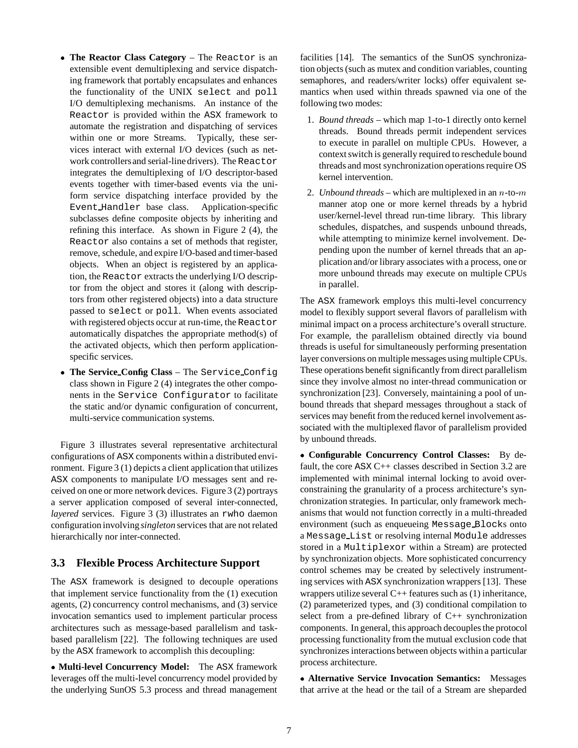- **The Reactor Class Category** The Reactor is an extensible event demultiplexing and service dispatching framework that portably encapsulates and enhances the functionality of the UNIX select and poll I/O demultiplexing mechanisms. An instance of the Reactor is provided within the ASX framework to automate the registration and dispatching of services within one or more Streams. Typically, these services interact with external I/O devices (such as network controllersand serial-line drivers). The Reactor integrates the demultiplexing of I/O descriptor-based events together with timer-based events via the uniform service dispatching interface provided by the Event Handler base class. Application-specific subclasses define composite objects by inheriting and refining this interface. As shown in Figure 2 (4), the Reactor also contains a set of methods that register, remove, schedule, and expire I/O-based and timer-based objects. When an object is registered by an application, the Reactor extracts the underlying I/O descriptor from the object and stores it (along with descriptors from other registered objects) into a data structure passed to select or poll. When events associated with registered objects occur at run-time, the Reactor automatically dispatches the appropriate method(s) of the activated objects, which then perform applicationspecific services.
- **The Service Config Class** The Service Config class shown in Figure 2 (4) integrates the other components in the Service Configurator to facilitate the static and/or dynamic configuration of concurrent, multi-service communication systems.

Figure 3 illustrates several representative architectural configurations of ASX components within a distributed environment. Figure 3 (1) depicts a client application that utilizes ASX components to manipulate I/O messages sent and received on one or more network devices. Figure 3 (2) portrays a server application composed of several inter-connected, *layered* services. Figure 3 (3) illustrates an rwho daemon configuration involving*singleton* services that are not related hierarchically nor inter-connected.

### **3.3 Flexible Process Architecture Support**

The ASX framework is designed to decouple operations that implement service functionality from the (1) execution agents, (2) concurrency control mechanisms, and (3) service invocation semantics used to implement particular process architectures such as message-based parallelism and taskbased parallelism [22]. The following techniques are used by the ASX framework to accomplish this decoupling:

 **Multi-level Concurrency Model:** The ASX framework leverages off the multi-level concurrency model provided by the underlying SunOS 5.3 process and thread management facilities [14]. The semantics of the SunOS synchronization objects (such as mutex and condition variables, counting semaphores, and readers/writer locks) offer equivalent semantics when used within threads spawned via one of the following two modes:

- 1. *Bound threads* which map 1-to-1 directly onto kernel threads. Bound threads permit independent services to execute in parallel on multiple CPUs. However, a context switch is generally required to reschedule bound threads and most synchronization operations require OS kernel intervention.
- 2. *Unbound threads* which are multiplexed in an <sup>n</sup>-to-<sup>m</sup> manner atop one or more kernel threads by a hybrid user/kernel-level thread run-time library. This library schedules, dispatches, and suspends unbound threads, while attempting to minimize kernel involvement. Depending upon the number of kernel threads that an application and/or library associates with a process, one or more unbound threads may execute on multiple CPUs in parallel.

The ASX framework employs this multi-level concurrency model to flexibly support several flavors of parallelism with minimal impact on a process architecture's overall structure. For example, the parallelism obtained directly via bound threads is useful for simultaneously performing presentation layer conversions on multiple messages using multiple CPUs. These operations benefit significantly from direct parallelism since they involve almost no inter-thread communication or synchronization [23]. Conversely, maintaining a pool of unbound threads that shepard messages throughout a stack of services may benefit from the reduced kernel involvement associated with the multiplexed flavor of parallelism provided by unbound threads.

 **Configurable Concurrency Control Classes:** By default, the core ASX C++ classes described in Section 3.2 are implemented with minimal internal locking to avoid overconstraining the granularity of a process architecture's synchronization strategies. In particular, only framework mechanisms that would not function correctly in a multi-threaded environment (such as enqueueing Message Blocks onto a Message List or resolving internal Module addresses stored in a Multiplexor within a Stream) are protected by synchronization objects. More sophisticated concurrency control schemes may be created by selectively instrumenting services with ASX synchronization wrappers [13]. These wrappers utilize several  $C++$  features such as  $(1)$  inheritance, (2) parameterized types, and (3) conditional compilation to select from a pre-defined library of  $C_{++}$  synchronization components. In general, this approach decouples the protocol processing functionality from the mutual exclusion code that synchronizes interactions between objects within a particular process architecture.

 **Alternative Service Invocation Semantics:** Messages that arrive at the head or the tail of a Stream are sheparded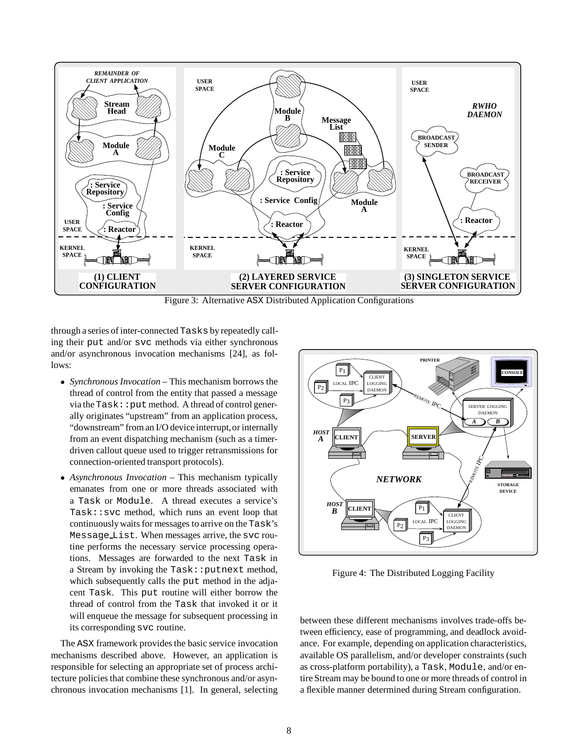

Figure 3: Alternative ASX Distributed Application Configurations

through a series of inter-connected Tasks by repeatedly calling their put and/or svc methods via either synchronous and/or asynchronous invocation mechanisms [24], as follows:

- *Synchronous Invocation* This mechanism borrows the thread of control from the entity that passed a message  $via the Task: :put method. A thread of control gener$ ally originates "upstream" from an application process, "downstream" from an I/O device interrupt, or internally from an event dispatching mechanism (such as a timerdriven callout queue used to trigger retransmissions for connection-oriented transport protocols).
- *Asynchronous Invocation* This mechanism typically emanates from one or more threads associated with a Task or Module. A thread executes a service's Task::svc method, which runs an event loop that continuouslywaits for messages to arrive on the Task's Message List. When messages arrive, the svc routine performs the necessary service processing operations. Messages are forwarded to the next Task in a Stream by invoking the Task:: putnext method, which subsequently calls the put method in the adjacent Task. This put routine will either borrow the thread of control from the Task that invoked it or it will enqueue the message for subsequent processing in its corresponding svc routine.

The ASX framework provides the basic service invocation mechanisms described above. However, an application is responsible for selecting an appropriate set of process architecture policies that combine these synchronous and/or asynchronous invocation mechanisms [1]. In general, selecting



Figure 4: The Distributed Logging Facility

between these different mechanisms involves trade-offs between efficiency, ease of programming, and deadlock avoidance. For example, depending on application characteristics, available OS parallelism, and/or developer constraints (such as cross-platform portability), a Task, Module, and/or entire Stream may be bound to one or more threads of control in a flexible manner determined during Stream configuration.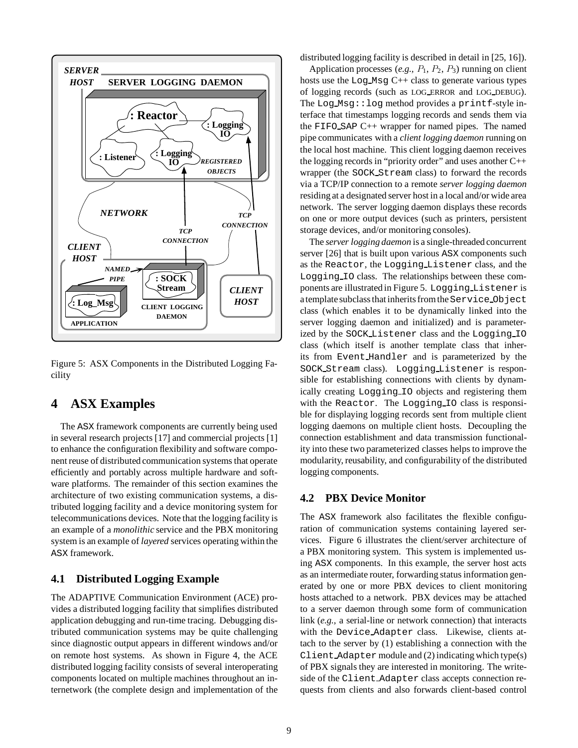

Figure 5: ASX Components in the Distributed Logging Facility

# **4 ASX Examples**

The ASX framework components are currently being used in several research projects [17] and commercial projects [1] to enhance the configuration flexibility and software component reuse of distributed communication systems that operate efficiently and portably across multiple hardware and software platforms. The remainder of this section examines the architecture of two existing communication systems, a distributed logging facility and a device monitoring system for telecommunications devices. Note that the logging facility is an example of a *monolithic* service and the PBX monitoring system is an example of *layered* services operating within the ASX framework.

### **4.1 Distributed Logging Example**

The ADAPTIVE Communication Environment (ACE) provides a distributed logging facility that simplifies distributed application debugging and run-time tracing. Debugging distributed communication systems may be quite challenging since diagnostic output appears in different windows and/or on remote host systems. As shown in Figure 4, the ACE distributed logging facility consists of several interoperating components located on multiple machines throughout an internetwork (the complete design and implementation of the

distributed logging facility is described in detail in [25, 16]).

Application processes  $(e.g., P_1, P_2, P_3)$  running on client hosts use the Log Msg C++ class to generate various types of logging records (such as LOG ERROR and LOG DEBUG). The Log Msg::log method provides a printf-style interface that timestamps logging records and sends them via the FIFO SAP C++ wrapper for named pipes. The named pipe communicates with a *client logging daemon* running on the local host machine. This client logging daemon receives the logging records in "priority order" and uses another C++ wrapper (the SOCK Stream class) to forward the records via a TCP/IP connection to a remote *server logging daemon* residing at a designated server host in a local and/or wide area network. The server logging daemon displays these records on one or more output devices (such as printers, persistent storage devices, and/or monitoring consoles).

The *server logging daemon* is a single-threaded concurrent server [26] that is built upon various ASX components such as the Reactor, the Logging Listener class, and the Logging IO class. The relationships between these components are illustrated in Figure 5. Logging Listener is a template subclass that inherits from the Service Object class (which enables it to be dynamically linked into the server logging daemon and initialized) and is parameterized by the SOCK Listener class and the Logging IO class (which itself is another template class that inherits from Event Handler and is parameterized by the SOCK Stream class). Logging Listener is responsible for establishing connections with clients by dynamically creating Logging IO objects and registering them with the Reactor. The Logging IO class is responsible for displaying logging records sent from multiple client logging daemons on multiple client hosts. Decoupling the connection establishment and data transmission functionality into these two parameterized classes helps to improve the modularity, reusability, and configurability of the distributed logging components.

### **4.2 PBX Device Monitor**

The ASX framework also facilitates the flexible configuration of communication systems containing layered services. Figure 6 illustrates the client/server architecture of a PBX monitoring system. This system is implemented using ASX components. In this example, the server host acts as an intermediate router, forwarding status information generated by one or more PBX devices to client monitoring hosts attached to a network. PBX devices may be attached to a server daemon through some form of communication link (*e.g.,* a serial-line or network connection) that interacts with the Device Adapter class. Likewise, clients attach to the server by (1) establishing a connection with the Client Adapter module and (2) indicating which type(s) of PBX signals they are interested in monitoring. The writeside of the Client Adapter class accepts connection requests from clients and also forwards client-based control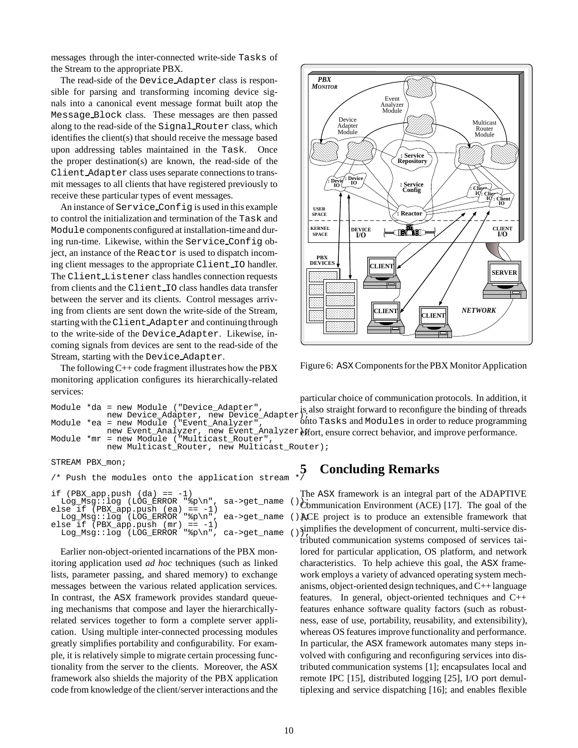messages through the inter-connected write-side Tasks of the Stream to the appropriate PBX.

The read-side of the Device Adapter class is responsible for parsing and transforming incoming device signals into a canonical event message format built atop the Message Block class. These messages are then passed along to the read-side of the Signal Router class, which identifies the client(s) that should receive the message based upon addressing tables maintained in the Task. Once the proper destination(s) are known, the read-side of the Client Adapter class uses separate connections to transmit messages to all clients that have registered previously to receive these particular types of event messages.

An instance of Service Config is used in this example to control the initialization and termination of the Task and Module components configured at installation-timeand during run-time. Likewise, within the Service Config object, an instance of the Reactor is used to dispatch incoming client messages to the appropriate Client IO handler. The Client Listener class handles connection requests from clients and the Client IO class handles data transfer between the server and its clients. Control messages arriving from clients are sent down the write-side of the Stream, starting with the Client Adapter and continuingthrough to the write-side of the Device Adapter. Likewise, incoming signals from devices are sent to the read-side of the Stream, starting with the Device Adapter.

The following  $C++$  code fragment illustrates how the PBX monitoring application configures its hierarchically-related services:

```
Module *da = new Module ("Device_Adapter",
            new Device_Adapter, new Device_Adapter);
Module *ea = new Module ("Event_Analyzer",
             new Event_Analyzer, new Event_Analyzer effort, ensure correct behavior, and improve performance.
Module *mr = new Module ("Multicast_Router",
            new Multicast Router, new Multicast Router);
                                                       is also straight forward to reconfigure the binding of threads
                                                       onto Tasks and Modules in order to reduce programming
```
STREAM PBX\_mon;

```
\mathcal{I}^* Push the modules onto the application stream \mathbf{I}^*if (PBX_app.push (da) == -1)Log_Msg::log (LOG_ERROR "%p\n", sa->get_name ());
else if (PBX_app.push (ea) == -1)
  Log_Msg::log (LOG_ERROR "%p\n", ea->get_name ()AO
else if (PBX\_\,app.push(mr) == -1)Log_Msg::log (LOG_ERROR "%p\n", ca->get_name ());
```
Earlier non-object-oriented incarnations of the PBX monitoring application used *ad hoc* techniques (such as linked lists, parameter passing, and shared memory) to exchange messages between the various related application services. In contrast, the ASX framework provides standard queueing mechanisms that compose and layer the hierarchicallyrelated services together to form a complete server application. Using multiple inter-connected processing modules greatly simplifies portability and configurability. For example, it is relatively simple to migrate certain processing functionality from the server to the clients. Moreover, the ASX framework also shields the majority of the PBX application code from knowledge of the client/server interactions and the



Figure 6: ASX Components for the PBX Monitor Application

particular choice of communication protocols. In addition, it

**5 Concluding Remarks**

The ASX framework is an integral part of the ADAPTIVE  $\dot{C}$ ommunication Environment (ACE) [17]. The goal of the ACE project is to produce an extensible framework that simplifies the development of concurrent, multi-service distributed communication systems composed of services tailored for particular application, OS platform, and network characteristics. To help achieve this goal, the ASX framework employs a variety of advanced operating system mechanisms, object-oriented design techniques, and C++ language features. In general, object-oriented techniques and C++ features enhance software quality factors (such as robustness, ease of use, portability, reusability, and extensibility), whereas OS features improve functionality and performance. In particular, the ASX framework automates many steps involved with configuring and reconfiguring services into distributed communication systems [1]; encapsulates local and remote IPC [15], distributed logging [25], I/O port demultiplexing and service dispatching [16]; and enables flexible